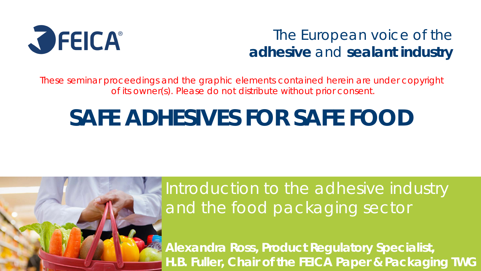

#### The European voice of the **adhesive** and **sealant industry**

These seminar proceedings and the graphic elements contained herein are under copyright of its owner(s). Please do not distribute without prior consent.

# **SAFE ADHESIVES FOR SAFE FOOD**



**Alexandra Ross, Product Regulatory Specialist, H.B. Fuller, Chair of the FEICA Paper & Packaging TWG**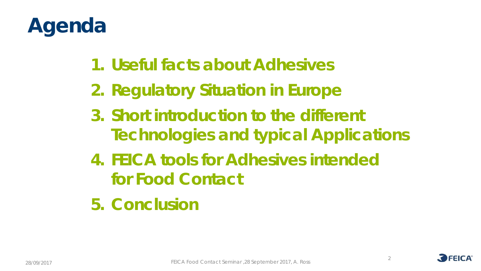# **Agenda**

- **1. Useful facts about Adhesives**
- **2. Regulatory Situation in Europe**
- **3. Short introduction to the different Technologies and typical Applications**
- **4. FEICA tools for Adhesives intended for Food Contact**
- **5. Conclusion**



2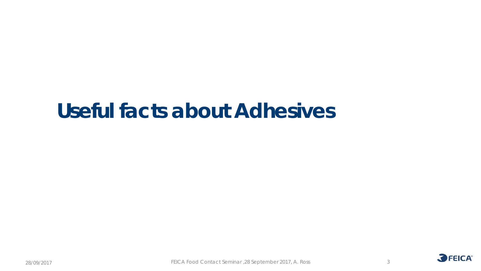

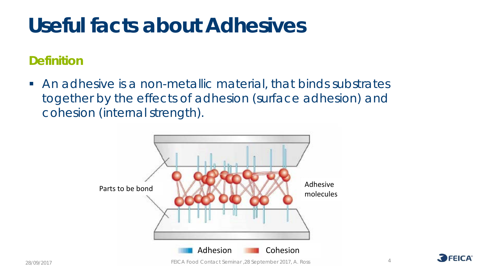#### **Definition**

 An adhesive is a non-metallic material, that binds substrates together by the effects of adhesion (surface adhesion) and cohesion (internal strength).



4 28/09/2017 FEICA Food Contact Seminar ,28 September 2017, A. Ross

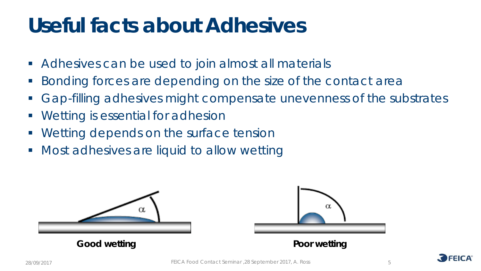- Adhesives can be used to join almost all materials
- Bonding forces are depending on the size of the contact area
- Gap-filling adhesives might compensate unevenness of the substrates
- **Wetting is essential for adhesion**
- **Wetting depends on the surface tension**
- **Most adhesives are liquid to allow wetting**





5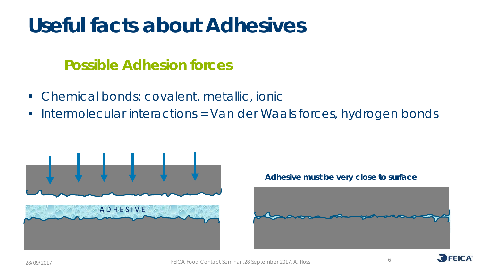#### **Possible Adhesion forces**

- Chemical bonds: covalent, metallic, ionic
- Intermolecular interactions = Van der Waals forces, hydrogen bonds



#### **Adhesive must be very close to surface**



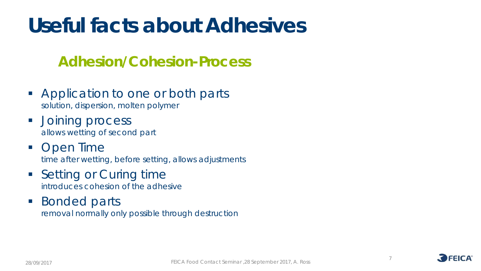#### **Adhesion/Cohesion-Process**

- Application to one or both parts *solution, dispersion, molten polymer*
- **Joining process** *allows wetting of second part*
- Open Time *time after wetting, before setting, allows adjustments*
- Setting or Curing time *introduces cohesion of the adhesive*
- **Bonded parts** *removal normally only possible through destruction*

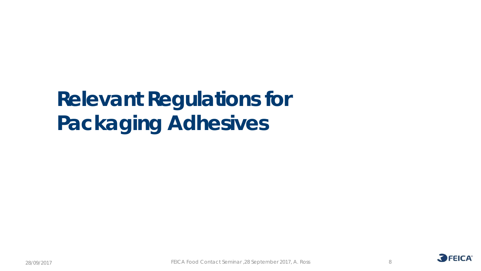# **Relevant Regulations for Packaging Adhesives**

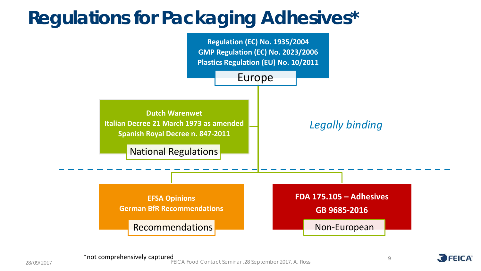#### **Regulations for Packaging Adhesives\***



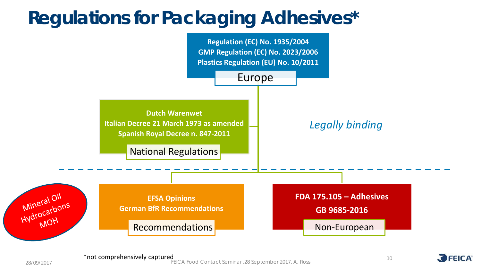#### **Regulations for Packaging Adhesives\***



10

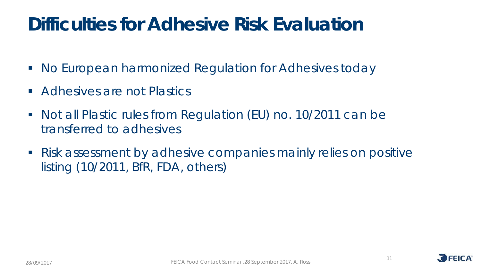#### **Difficulties for Adhesive Risk Evaluation**

- No European harmonized Regulation for Adhesives today
- **Adhesives are not Plastics**
- Not all Plastic rules from Regulation (EU) no. 10/2011 can be transferred to adhesives
- Risk assessment by adhesive companies mainly relies on positive listing (10/2011, BfR, FDA, others)

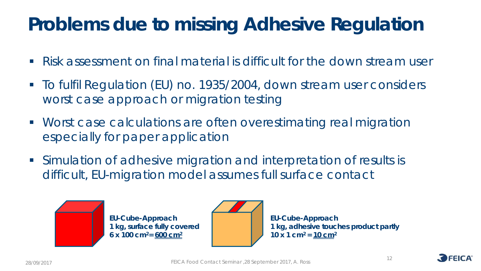#### **Problems due to missing Adhesive Regulation**

- Risk assessment on final material is difficult for the down stream user
- To fulfil Regulation (EU) no. 1935/2004, down stream user considers worst case approach or migration testing
- Worst case calculations are often overestimating real migration especially for paper application
- Simulation of adhesive migration and interpretation of results is difficult, EU-migration model assumes full surface contact





**EU-Cube-Approach 1 kg, adhesive touches product partly 10 x 1 cm2 = 10 cm2**

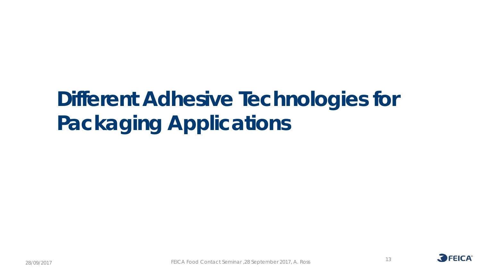# **Different Adhesive Technologies for Packaging Applications**

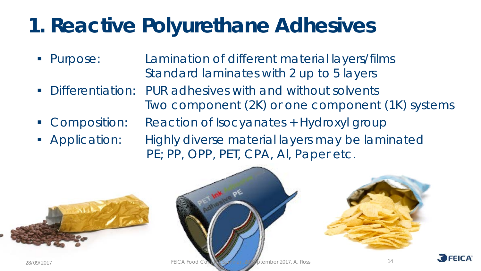## **1. Reactive Polyurethane Adhesives**

- Purpose: Lamination of different material layers/films Standard laminates with 2 up to 5 layers
- Differentiation: PUR adhesives with and without solvents Two component (2K) or one component (1K) systems
- Composition: Reaction of Isocyanates + Hydroxyl group
- **Application:** Highly diverse material layers may be laminated PE; PP, OPP, PET, CPA, AI, Paper etc.







14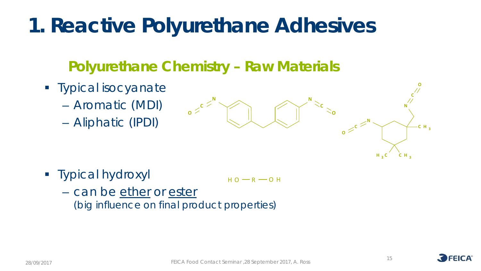## **1. Reactive Polyurethane Adhesives**

#### **Polyurethane Chemistry – Raw Materials**

- **Typical isocyanate** 
	- Aromatic (MDI)
	- Aliphatic (IPDI)



**Typical hydroxyl** 

 $H O - R - O H$ 

– can be ether or ester (*big influence on final product properties)*

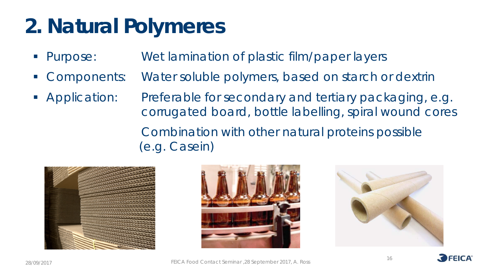# **2. Natural Polymeres**

- **Purpose:** Wet lamination of plastic film/paper layers
- Components: Water soluble polymers, based on starch or dextrin
- **Application:** Preferable for secondary and tertiary packaging, e.g. corrugated board, bottle labelling, spiral wound cores Combination with other natural proteins possible (e.g. Casein)







16



28/09/2017 FEICA Food Contact Seminar ,28 September 2017, A. Ross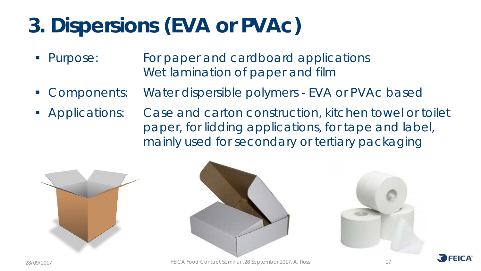# **3. Dispersions (EVA or PVAc)**

- **Purpose:** For paper and cardboard applications Wet lamination of paper and film
- **Components:** Water dispersible polymers EVA or PVAc based
- **Applications:** Case and carton construction, kitchen towel or toilet paper, for lidding applications, for tape and label, mainly used for secondary or tertiary packaging







28/09/2017 FEICA Food Contact Seminar ,28 September 2017, A. Ross

17

**FFICA**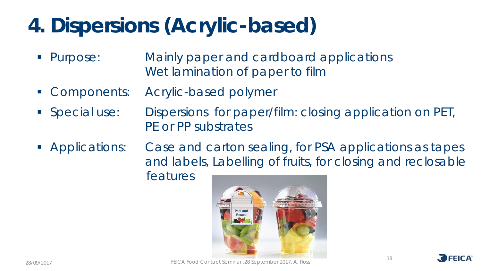# **4. Dispersions (Acrylic-based)**

- Purpose: Mainly paper and cardboard applications Wet lamination of paper to film
- Components: Acrylic-based polymer
- Special use: Dispersions for paper/film: closing application on PET, PE or PP substrates
- **Applications:** Case and carton sealing, for PSA applications as tapes and labels, Labelling of fruits, for closing and reclosable features



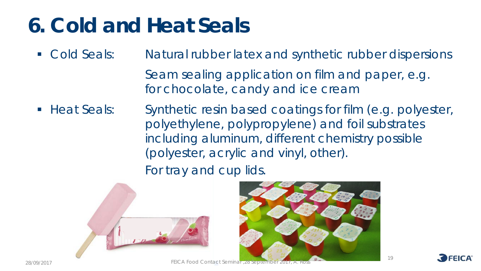# **6. Cold and Heat Seals**

- **Cold Seals:** Natural rubber latex and synthetic rubber dispersions
	- Seam sealing application on film and paper, e.g. for chocolate, candy and ice cream
- Heat Seals: Synthetic resin based coatings for film (e.g. polyester, polyethylene, polypropylene) and foil substrates including aluminum, different chemistry possible (polyester, acrylic and vinyl, other).

For tray and cup lids.





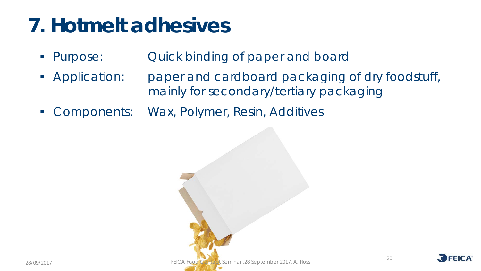- **Purpose:** Quick binding of paper and board
- Application: paper and cardboard packaging of dry foodstuff, mainly for secondary/tertiary packaging
- **Components: Wax, Polymer, Resin, Additives**



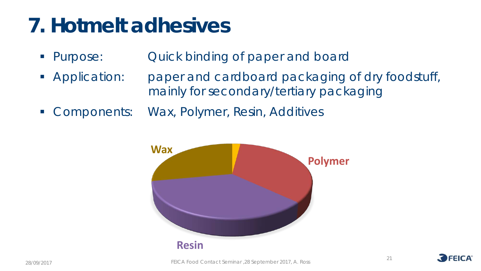- Purpose: Quick binding of paper and board
- **Application:** paper and cardboard packaging of dry foodstuff, mainly for secondary/tertiary packaging
- **Components: Wax, Polymer, Resin, Additives**



28/09/2017 FEICA Food Contact Seminar ,28 September 2017, A. Ross

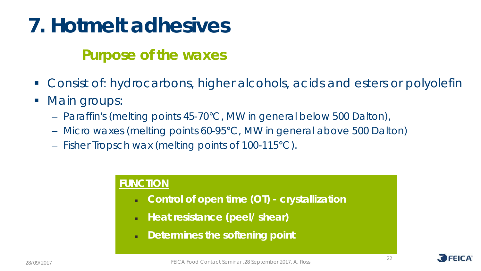#### **Purpose of the waxes**

- Consist of: hydrocarbons, higher alcohols, acids and esters or polyolefin
- Main groups:
	- Paraffin's (melting points 45-70°C, MW in general below 500 Dalton),
	- Micro waxes (melting points 60-95°C, MW in general above 500 Dalton)
	- Fisher Tropsch wax (melting points of 100-115°C).

#### **FUNCTION**

- **Control of open time (OT) - crystallization**
- **Heat resistance (peel/ shear)**
- **Determines the softening point**

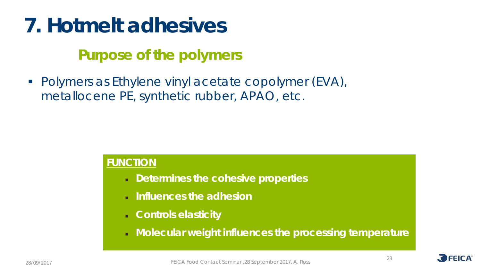#### **Purpose of the polymers**

■ Polymers as Ethylene vinyl acetate copolymer (EVA), metallocene PE, synthetic rubber, APAO, etc.

#### **FUNCTION**

- **Determines the cohesive properties**
- **Influences the adhesion**
- **Controls elasticity**
- **Molecular weight influences the processing temperature**



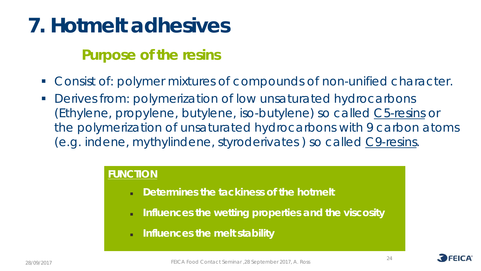#### **Purpose of the resins**

- **Consist of: polymer mixtures of compounds of non-unified character.**
- **Derives from: polymerization of low unsaturated hydrocarbons** (Ethylene, propylene, butylene, iso-butylene) so called C5-resins or the polymerization of unsaturated hydrocarbons with 9 carbon atoms (e.g. indene, mythylindene, styroderivates ) so called C9-resins.

#### **FUNCTION**

- **Determines the tackiness of the hotmelt**
- **Influences the wetting properties and the viscosity**
- **Influences the melt stability**

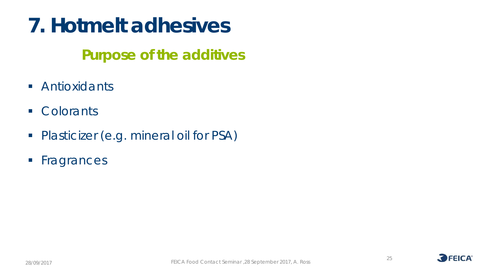#### **Purpose of the additives**

- **Antioxidants**
- **Colorants**
- **Plasticizer (e.g. mineral oil for PSA)**
- **Fragrances**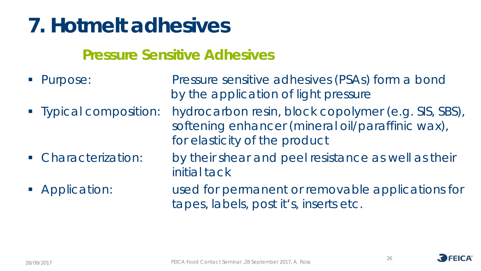#### **Pressure Sensitive Adhesives**

■ Purpose: Pressure sensitive adhesives (PSAs) form a bond by the application of light pressure • Typical composition: hydrocarbon resin, block copolymer (e.g. SIS, SBS), softening enhancer (mineral oil/paraffinic wax), for elasticity of the product **Characterization:** by their shear and peel resistance as well as their initial tack **Application:** used for permanent or removable applications for tapes, labels, post it's, inserts etc.

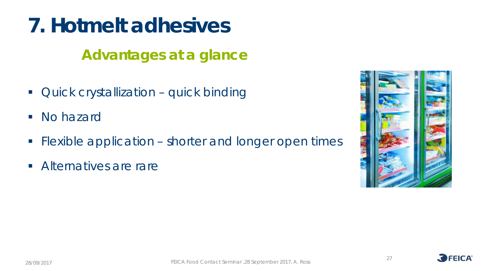#### **Advantages at a glance**

- **Quick crystallization quick binding**
- No hazard
- Flexible application shorter and longer open times
- **Alternatives are rare**



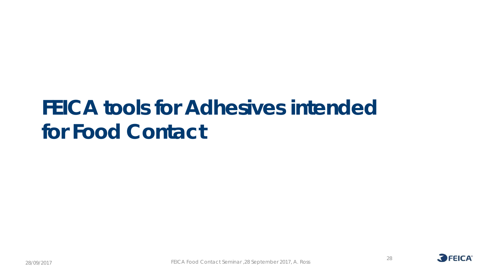### **FEICA tools for Adhesives intended for Food Contact**

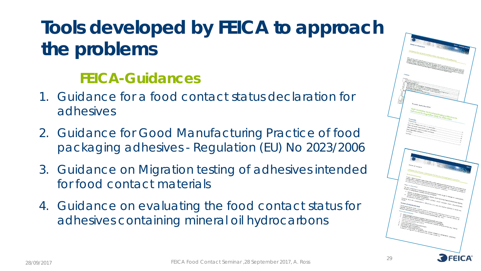### **Tools developed by FEICA to approach the problems**

#### **FEICA-Guidances**

- 1. Guidance for a food contact status declaration for adhesives
- 2. Guidance for Good Manufacturing Practice of food packaging adhesives - Regulation (EU) No 2023/2006
- 3. Guidance on Migration testing of adhesives intended for food contact materials
- 4. Guidance on evaluating the food contact status for adhesives containing mineral oil hydrocarbons